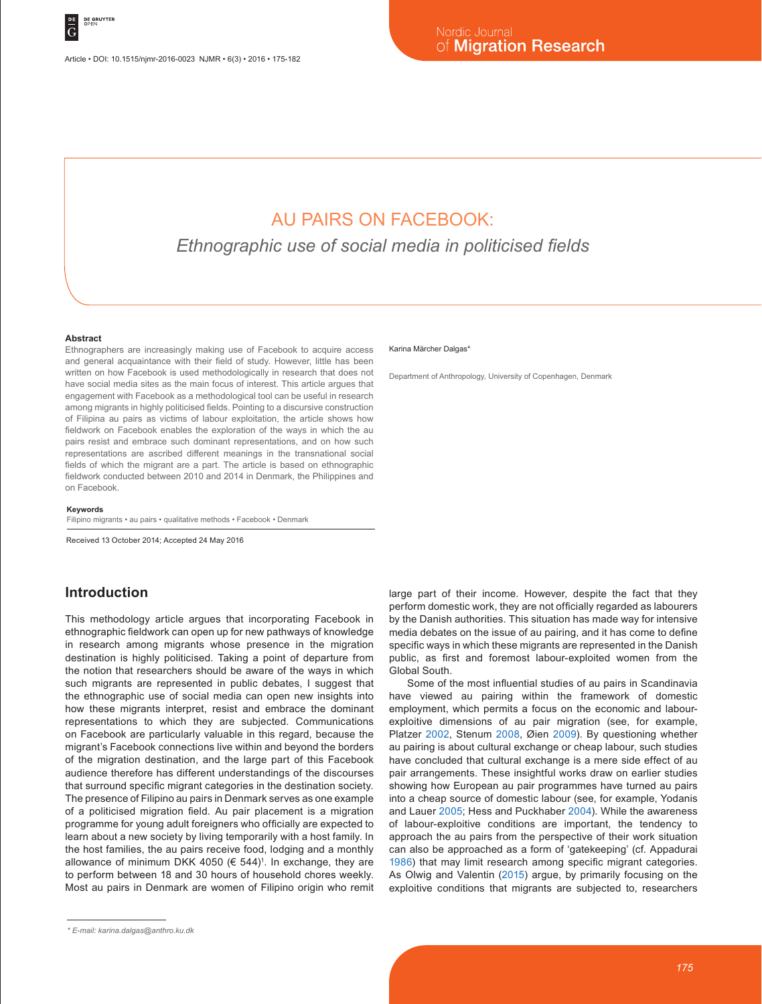## AU PAIRS ON FACEBOOK:

*Ethnographic use of social media in politicised fields*

#### **Abstract**

Ethnographers are increasingly making use of Facebook to acquire access and general acquaintance with their field of study. However, little has been written on how Facebook is used methodologically in research that does not have social media sites as the main focus of interest. This article argues that engagement with Facebook as a methodological tool can be useful in research among migrants in highly politicised fields. Pointing to a discursive construction of Filipina au pairs as victims of labour exploitation, the article shows how fieldwork on Facebook enables the exploration of the ways in which the au pairs resist and embrace such dominant representations, and on how such representations are ascribed different meanings in the transnational social fields of which the migrant are a part. The article is based on ethnographic fieldwork conducted between 2010 and 2014 in Denmark, the Philippines and on Facebook.

#### **Keywords**

Filipino migrants • au pairs • qualitative methods • Facebook • Denmark

Received 13 October 2014; Accepted 24 May 2016

### **Introduction**

This methodology article argues that incorporating Facebook in ethnographic fieldwork can open up for new pathways of knowledge in research among migrants whose presence in the migration destination is highly politicised. Taking a point of departure from the notion that researchers should be aware of the ways in which such migrants are represented in public debates, I suggest that the ethnographic use of social media can open new insights into how these migrants interpret, resist and embrace the dominant representations to which they are subjected. Communications on Facebook are particularly valuable in this regard, because the migrant's Facebook connections live within and beyond the borders of the migration destination, and the large part of this Facebook audience therefore has different understandings of the discourses that surround specific migrant categories in the destination society. The presence of Filipino au pairs in Denmark serves as one example of a politicised migration field. Au pair placement is a migration programme for young adult foreigners who officially are expected to learn about a new society by living temporarily with a host family. In the host families, the au pairs receive food, lodging and a monthly allowance of minimum DKK 4050 ( $\epsilon$  544)<sup>1</sup>. In exchange, they are to perform between 18 and 30 hours of household chores weekly. Most au pairs in Denmark are women of Filipino origin who remit

#### Karina Märcher Dalgas

Department of Anthropology, University of Copenhagen, Denmark

large part of their income. However, despite the fact that they perform domestic work, they are not officially regarded as labourers by the Danish authorities. This situation has made way for intensive media debates on the issue of au pairing, and it has come to define specific ways in which these migrants are represented in the Danish public, as first and foremost labour-exploited women from the Global South.

Some of the most influential studies of au pairs in Scandinavia have viewed au pairing within the framework of domestic employment, which permits a focus on the economic and labourexploitive dimensions of au pair migration (see, for example, Platzer 2002, Stenum 2008, Øien 2009). By questioning whether au pairing is about cultural exchange or cheap labour, such studies have concluded that cultural exchange is a mere side effect of au pair arrangements. These insightful works draw on earlier studies showing how European au pair programmes have turned au pairs into a cheap source of domestic labour (see, for example, Yodanis and Lauer 2005; Hess and Puckhaber 2004). While the awareness of labour-exploitive conditions are important, the tendency to approach the au pairs from the perspective of their work situation can also be approached as a form of 'gatekeeping' (cf. Appadurai 1986) that may limit research among specific migrant categories. As Olwig and Valentin (2015) argue, by primarily focusing on the exploitive conditions that migrants are subjected to, researchers

*<sup>\*</sup> E-mail: karina.dalgas@anthro.ku.dk*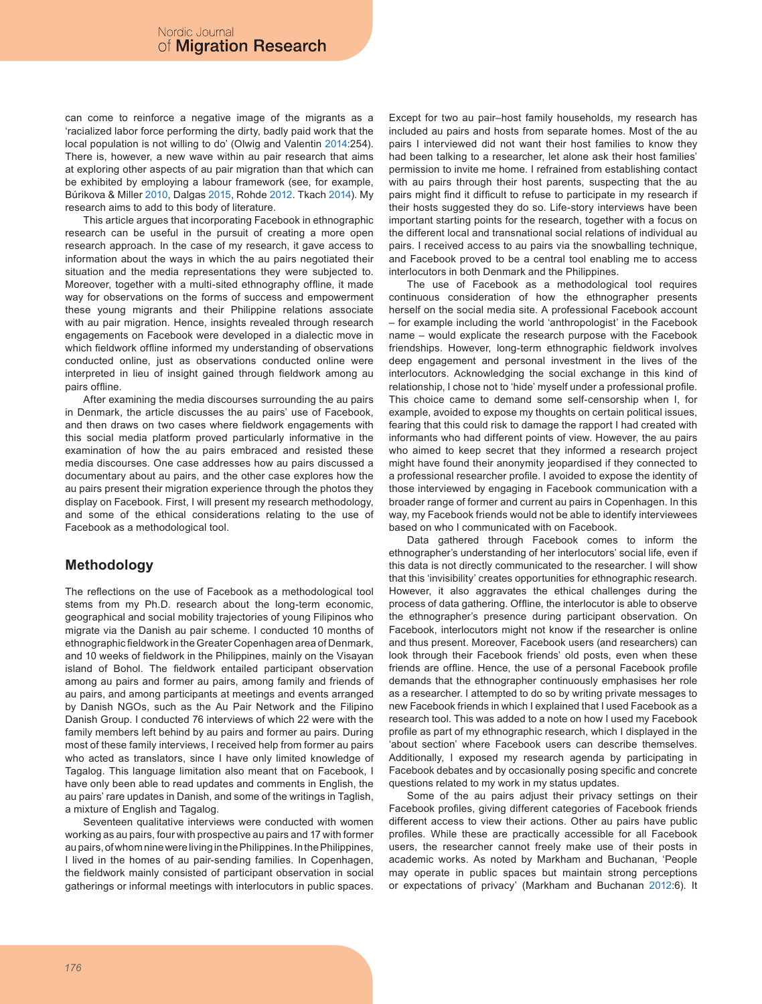can come to reinforce a negative image of the migrants as a 'racialized labor force performing the dirty, badly paid work that the local population is not willing to do' (Olwig and Valentin 2014:254). There is, however, a new wave within au pair research that aims at exploring other aspects of au pair migration than that which can be exhibited by employing a labour framework (see, for example, Búrikova & Miller 2010, Dalgas 2015, Rohde 2012. Tkach 2014). My research aims to add to this body of literature.

This article argues that incorporating Facebook in ethnographic research can be useful in the pursuit of creating a more open research approach. In the case of my research, it gave access to information about the ways in which the au pairs negotiated their situation and the media representations they were subjected to. Moreover, together with a multi-sited ethnography offline, it made way for observations on the forms of success and empowerment these young migrants and their Philippine relations associate with au pair migration. Hence, insights revealed through research engagements on Facebook were developed in a dialectic move in which fieldwork offline informed my understanding of observations conducted online, just as observations conducted online were interpreted in lieu of insight gained through fieldwork among au pairs offline.

After examining the media discourses surrounding the au pairs in Denmark, the article discusses the au pairs' use of Facebook, and then draws on two cases where fieldwork engagements with this social media platform proved particularly informative in the examination of how the au pairs embraced and resisted these media discourses. One case addresses how au pairs discussed a documentary about au pairs, and the other case explores how the au pairs present their migration experience through the photos they display on Facebook. First, I will present my research methodology, and some of the ethical considerations relating to the use of Facebook as a methodological tool.

## **Methodology**

The reflections on the use of Facebook as a methodological tool stems from my Ph.D. research about the long-term economic, geographical and social mobility trajectories of young Filipinos who migrate via the Danish au pair scheme. I conducted 10 months of ethnographic fieldwork in the Greater Copenhagen area of Denmark, and 10 weeks of fieldwork in the Philippines, mainly on the Visayan island of Bohol. The fieldwork entailed participant observation among au pairs and former au pairs, among family and friends of au pairs, and among participants at meetings and events arranged by Danish NGOs, such as the Au Pair Network and the Filipino Danish Group. I conducted 76 interviews of which 22 were with the family members left behind by au pairs and former au pairs. During most of these family interviews, I received help from former au pairs who acted as translators, since I have only limited knowledge of Tagalog. This language limitation also meant that on Facebook, I have only been able to read updates and comments in English, the au pairs' rare updates in Danish, and some of the writings in Taglish, a mixture of English and Tagalog.

Seventeen qualitative interviews were conducted with women working as au pairs, four with prospective au pairs and 17 with former au pairs, of whom nine were living in the Philippines. In the Philippines, I lived in the homes of au pair-sending families. In Copenhagen, the fieldwork mainly consisted of participant observation in social gatherings or informal meetings with interlocutors in public spaces.

Except for two au pair–host family households, my research has included au pairs and hosts from separate homes. Most of the au pairs I interviewed did not want their host families to know they had been talking to a researcher, let alone ask their host families' permission to invite me home. I refrained from establishing contact with au pairs through their host parents, suspecting that the au pairs might find it difficult to refuse to participate in my research if their hosts suggested they do so. Life-story interviews have been important starting points for the research, together with a focus on the different local and transnational social relations of individual au pairs. I received access to au pairs via the snowballing technique, and Facebook proved to be a central tool enabling me to access interlocutors in both Denmark and the Philippines.

The use of Facebook as a methodological tool requires continuous consideration of how the ethnographer presents herself on the social media site. A professional Facebook account – for example including the world 'anthropologist' in the Facebook name – would explicate the research purpose with the Facebook friendships. However, long-term ethnographic fieldwork involves deep engagement and personal investment in the lives of the interlocutors. Acknowledging the social exchange in this kind of relationship, I chose not to 'hide' myself under a professional profile. This choice came to demand some self-censorship when I, for example, avoided to expose my thoughts on certain political issues, fearing that this could risk to damage the rapport I had created with informants who had different points of view. However, the au pairs who aimed to keep secret that they informed a research project might have found their anonymity jeopardised if they connected to a professional researcher profile. I avoided to expose the identity of those interviewed by engaging in Facebook communication with a broader range of former and current au pairs in Copenhagen. In this way, my Facebook friends would not be able to identify interviewees based on who I communicated with on Facebook.

Data gathered through Facebook comes to inform the ethnographer's understanding of her interlocutors' social life, even if this data is not directly communicated to the researcher. I will show that this 'invisibility' creates opportunities for ethnographic research. However, it also aggravates the ethical challenges during the process of data gathering. Offline, the interlocutor is able to observe the ethnographer's presence during participant observation. On Facebook, interlocutors might not know if the researcher is online and thus present. Moreover, Facebook users (and researchers) can look through their Facebook friends' old posts, even when these friends are offline. Hence, the use of a personal Facebook profile demands that the ethnographer continuously emphasises her role as a researcher. I attempted to do so by writing private messages to new Facebook friends in which I explained that I used Facebook as a research tool. This was added to a note on how I used my Facebook profile as part of my ethnographic research, which I displayed in the 'about section' where Facebook users can describe themselves. Additionally, I exposed my research agenda by participating in Facebook debates and by occasionally posing specific and concrete questions related to my work in my status updates.

Some of the au pairs adjust their privacy settings on their Facebook profiles, giving different categories of Facebook friends different access to view their actions. Other au pairs have public profiles. While these are practically accessible for all Facebook users, the researcher cannot freely make use of their posts in academic works. As noted by Markham and Buchanan, 'People may operate in public spaces but maintain strong perceptions or expectations of privacy' (Markham and Buchanan 2012:6). It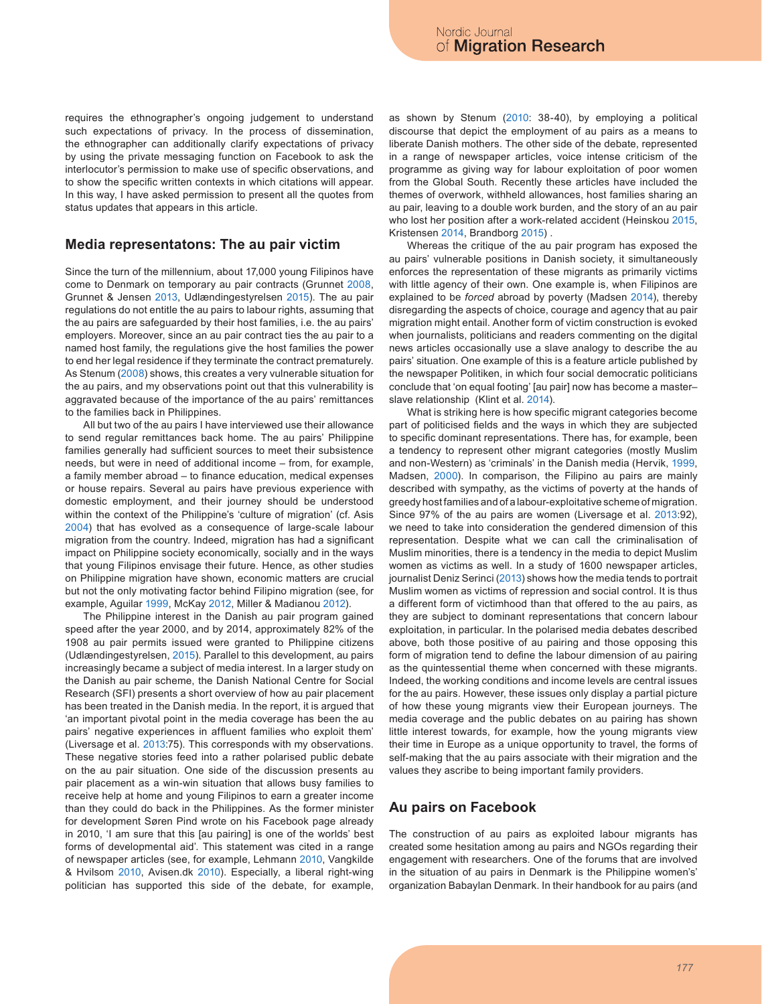requires the ethnographer's ongoing judgement to understand such expectations of privacy. In the process of dissemination, the ethnographer can additionally clarify expectations of privacy by using the private messaging function on Facebook to ask the interlocutor's permission to make use of specific observations, and to show the specific written contexts in which citations will appear. In this way, I have asked permission to present all the quotes from status updates that appears in this article.

### **Media representatons: The au pair victim**

Since the turn of the millennium, about 17,000 young Filipinos have come to Denmark on temporary au pair contracts (Grunnet 2008, Grunnet & Jensen 2013, Udlændingestyrelsen 2015). The au pair regulations do not entitle the au pairs to labour rights, assuming that the au pairs are safeguarded by their host families, i.e. the au pairs' employers. Moreover, since an au pair contract ties the au pair to a named host family, the regulations give the host families the power to end her legal residence if they terminate the contract prematurely. As Stenum (2008) shows, this creates a very vulnerable situation for the au pairs, and my observations point out that this vulnerability is aggravated because of the importance of the au pairs' remittances to the families back in Philippines.

All but two of the au pairs I have interviewed use their allowance to send regular remittances back home. The au pairs' Philippine families generally had sufficient sources to meet their subsistence needs, but were in need of additional income – from, for example, a family member abroad – to finance education, medical expenses or house repairs. Several au pairs have previous experience with domestic employment, and their journey should be understood within the context of the Philippine's 'culture of migration' (cf. Asis 2004) that has evolved as a consequence of large-scale labour migration from the country. Indeed, migration has had a significant impact on Philippine society economically, socially and in the ways that young Filipinos envisage their future. Hence, as other studies on Philippine migration have shown, economic matters are crucial but not the only motivating factor behind Filipino migration (see, for example, Aguilar 1999, McKay 2012, Miller & Madianou 2012).

The Philippine interest in the Danish au pair program gained speed after the year 2000, and by 2014, approximately 82% of the 1908 au pair permits issued were granted to Philippine citizens (Udlændingestyrelsen, 2015). Parallel to this development, au pairs increasingly became a subject of media interest. In a larger study on the Danish au pair scheme, the Danish National Centre for Social Research (SFI) presents a short overview of how au pair placement has been treated in the Danish media. In the report, it is argued that 'an important pivotal point in the media coverage has been the au pairs' negative experiences in affluent families who exploit them' (Liversage et al. 2013:75). This corresponds with my observations. These negative stories feed into a rather polarised public debate on the au pair situation. One side of the discussion presents au pair placement as a win-win situation that allows busy families to receive help at home and young Filipinos to earn a greater income than they could do back in the Philippines. As the former minister for development Søren Pind wrote on his Facebook page already in 2010, 'I am sure that this [au pairing] is one of the worlds' best forms of developmental aid'. This statement was cited in a range of newspaper articles (see, for example, Lehmann 2010, Vangkilde & Hvilsom 2010, Avisen.dk 2010). Especially, a liberal right-wing politician has supported this side of the debate, for example,

as shown by Stenum (2010: 38-40), by employing a political discourse that depict the employment of au pairs as a means to liberate Danish mothers. The other side of the debate, represented in a range of newspaper articles, voice intense criticism of the programme as giving way for labour exploitation of poor women from the Global South. Recently these articles have included the themes of overwork, withheld allowances, host families sharing an au pair, leaving to a double work burden, and the story of an au pair who lost her position after a work-related accident (Heinskou 2015, Kristensen 2014, Brandborg 2015) .

Whereas the critique of the au pair program has exposed the au pairs' vulnerable positions in Danish society, it simultaneously enforces the representation of these migrants as primarily victims with little agency of their own. One example is, when Filipinos are explained to be *forced* abroad by poverty (Madsen 2014), thereby disregarding the aspects of choice, courage and agency that au pair migration might entail. Another form of victim construction is evoked when journalists, politicians and readers commenting on the digital news articles occasionally use a slave analogy to describe the au pairs' situation. One example of this is a feature article published by the newspaper Politiken, in which four social democratic politicians conclude that 'on equal footing' [au pair] now has become a master– slave relationship (Klint et al. 2014).

What is striking here is how specific migrant categories become part of politicised fields and the ways in which they are subjected to specific dominant representations. There has, for example, been a tendency to represent other migrant categories (mostly Muslim and non-Western) as 'criminals' in the Danish media (Hervik, 1999, Madsen, 2000). In comparison, the Filipino au pairs are mainly described with sympathy, as the victims of poverty at the hands of greedy host families and of a labour-exploitative scheme of migration. Since 97% of the au pairs are women (Liversage et al. 2013:92), we need to take into consideration the gendered dimension of this representation. Despite what we can call the criminalisation of Muslim minorities, there is a tendency in the media to depict Muslim women as victims as well. In a study of 1600 newspaper articles, journalist Deniz Serinci (2013) shows how the media tends to portrait Muslim women as victims of repression and social control. It is thus a different form of victimhood than that offered to the au pairs, as they are subject to dominant representations that concern labour exploitation, in particular. In the polarised media debates described above, both those positive of au pairing and those opposing this form of migration tend to define the labour dimension of au pairing as the quintessential theme when concerned with these migrants. Indeed, the working conditions and income levels are central issues for the au pairs. However, these issues only display a partial picture of how these young migrants view their European journeys. The media coverage and the public debates on au pairing has shown little interest towards, for example, how the young migrants view their time in Europe as a unique opportunity to travel, the forms of self-making that the au pairs associate with their migration and the values they ascribe to being important family providers.

### **Au pairs on Facebook**

The construction of au pairs as exploited labour migrants has created some hesitation among au pairs and NGOs regarding their engagement with researchers. One of the forums that are involved in the situation of au pairs in Denmark is the Philippine women's' organization Babaylan Denmark. In their handbook for au pairs (and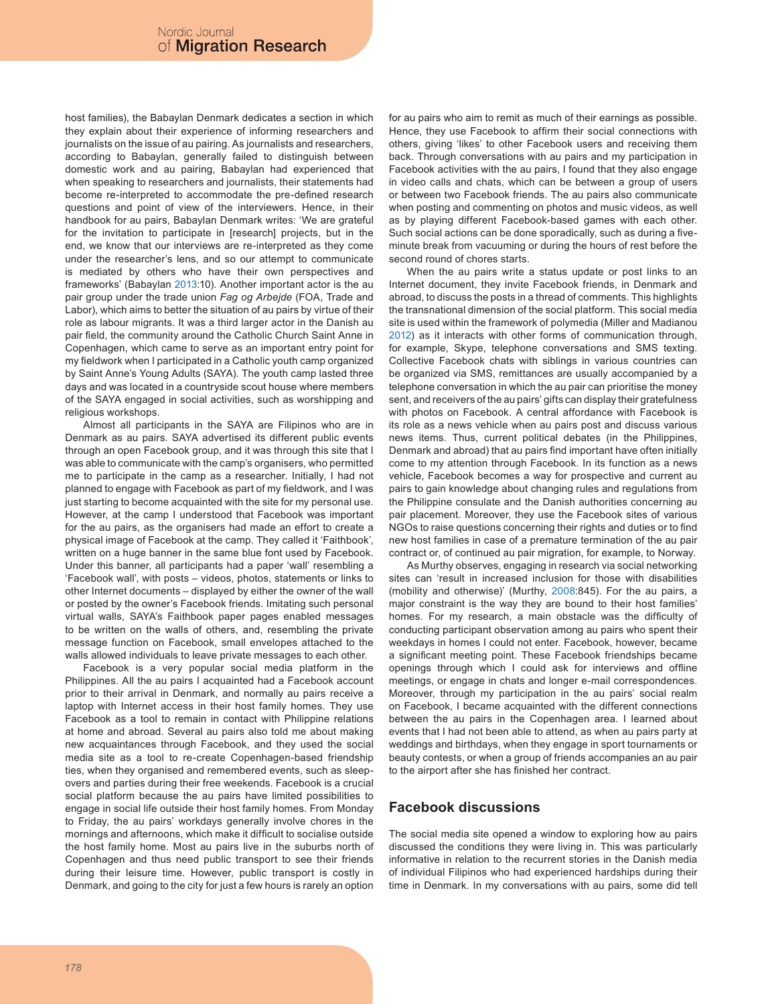host families), the Babaylan Denmark dedicates a section in which they explain about their experience of informing researchers and journalists on the issue of au pairing. As journalists and researchers, according to Babaylan, generally failed to distinguish between domestic work and au pairing, Babaylan had experienced that when speaking to researchers and journalists, their statements had become re-interpreted to accommodate the pre-defined research questions and point of view of the interviewers. Hence, in their handbook for au pairs, Babaylan Denmark writes: 'We are grateful for the invitation to participate in [research] projects, but in the end, we know that our interviews are re-interpreted as they come under the researcher's lens, and so our attempt to communicate is mediated by others who have their own perspectives and frameworks' (Babaylan 2013:10). Another important actor is the au pair group under the trade union *Fag og Arbejde* (FOA, Trade and Labor), which aims to better the situation of au pairs by virtue of their role as labour migrants. It was a third larger actor in the Danish au pair field, the community around the Catholic Church Saint Anne in Copenhagen, which came to serve as an important entry point for my fieldwork when I participated in a Catholic youth camp organized by Saint Anne's Young Adults (SAYA). The youth camp lasted three days and was located in a countryside scout house where members of the SAYA engaged in social activities, such as worshipping and religious workshops.

Almost all participants in the SAYA are Filipinos who are in Denmark as au pairs. SAYA advertised its different public events through an open Facebook group, and it was through this site that I was able to communicate with the camp's organisers, who permitted me to participate in the camp as a researcher. Initially, I had not planned to engage with Facebook as part of my fieldwork, and I was just starting to become acquainted with the site for my personal use. However, at the camp I understood that Facebook was important for the au pairs, as the organisers had made an effort to create a physical image of Facebook at the camp. They called it 'Faithbook', written on a huge banner in the same blue font used by Facebook. Under this banner, all participants had a paper 'wall' resembling a 'Facebook wall', with posts – videos, photos, statements or links to other Internet documents – displayed by either the owner of the wall or posted by the owner's Facebook friends. Imitating such personal virtual walls, SAYA's Faithbook paper pages enabled messages to be written on the walls of others, and, resembling the private message function on Facebook, small envelopes attached to the walls allowed individuals to leave private messages to each other.

Facebook is a very popular social media platform in the Philippines. All the au pairs I acquainted had a Facebook account prior to their arrival in Denmark, and normally au pairs receive a laptop with Internet access in their host family homes. They use Facebook as a tool to remain in contact with Philippine relations at home and abroad. Several au pairs also told me about making new acquaintances through Facebook, and they used the social media site as a tool to re-create Copenhagen-based friendship ties, when they organised and remembered events, such as sleepovers and parties during their free weekends. Facebook is a crucial social platform because the au pairs have limited possibilities to engage in social life outside their host family homes. From Monday to Friday, the au pairs' workdays generally involve chores in the mornings and afternoons, which make it difficult to socialise outside the host family home. Most au pairs live in the suburbs north of Copenhagen and thus need public transport to see their friends during their leisure time. However, public transport is costly in Denmark, and going to the city for just a few hours is rarely an option

for au pairs who aim to remit as much of their earnings as possible. Hence, they use Facebook to affirm their social connections with others, giving 'likes' to other Facebook users and receiving them back. Through conversations with au pairs and my participation in Facebook activities with the au pairs, I found that they also engage in video calls and chats, which can be between a group of users or between two Facebook friends. The au pairs also communicate when posting and commenting on photos and music videos, as well as by playing different Facebook-based games with each other. Such social actions can be done sporadically, such as during a fiveminute break from vacuuming or during the hours of rest before the second round of chores starts.

When the au pairs write a status update or post links to an Internet document, they invite Facebook friends, in Denmark and abroad, to discuss the posts in a thread of comments. This highlights the transnational dimension of the social platform. This social media site is used within the framework of polymedia (Miller and Madianou 2012) as it interacts with other forms of communication through, for example, Skype, telephone conversations and SMS texting. Collective Facebook chats with siblings in various countries can be organized via SMS, remittances are usually accompanied by a telephone conversation in which the au pair can prioritise the money sent, and receivers of the au pairs' gifts can display their gratefulness with photos on Facebook. A central affordance with Facebook is its role as a news vehicle when au pairs post and discuss various news items. Thus, current political debates (in the Philippines, Denmark and abroad) that au pairs find important have often initially come to my attention through Facebook. In its function as a news vehicle, Facebook becomes a way for prospective and current au pairs to gain knowledge about changing rules and regulations from the Philippine consulate and the Danish authorities concerning au pair placement. Moreover, they use the Facebook sites of various NGOs to raise questions concerning their rights and duties or to find new host families in case of a premature termination of the au pair contract or, of continued au pair migration, for example, to Norway.

As Murthy observes, engaging in research via social networking sites can 'result in increased inclusion for those with disabilities (mobility and otherwise)' (Murthy, 2008:845). For the au pairs, a major constraint is the way they are bound to their host families' homes. For my research, a main obstacle was the difficulty of conducting participant observation among au pairs who spent their weekdays in homes I could not enter. Facebook, however, became a significant meeting point. These Facebook friendships became openings through which I could ask for interviews and offline meetings, or engage in chats and longer e-mail correspondences. Moreover, through my participation in the au pairs' social realm on Facebook, I became acquainted with the different connections between the au pairs in the Copenhagen area. I learned about events that I had not been able to attend, as when au pairs party at weddings and birthdays, when they engage in sport tournaments or beauty contests, or when a group of friends accompanies an au pair to the airport after she has finished her contract.

### **Facebook discussions**

The social media site opened a window to exploring how au pairs discussed the conditions they were living in. This was particularly informative in relation to the recurrent stories in the Danish media of individual Filipinos who had experienced hardships during their time in Denmark. In my conversations with au pairs, some did tell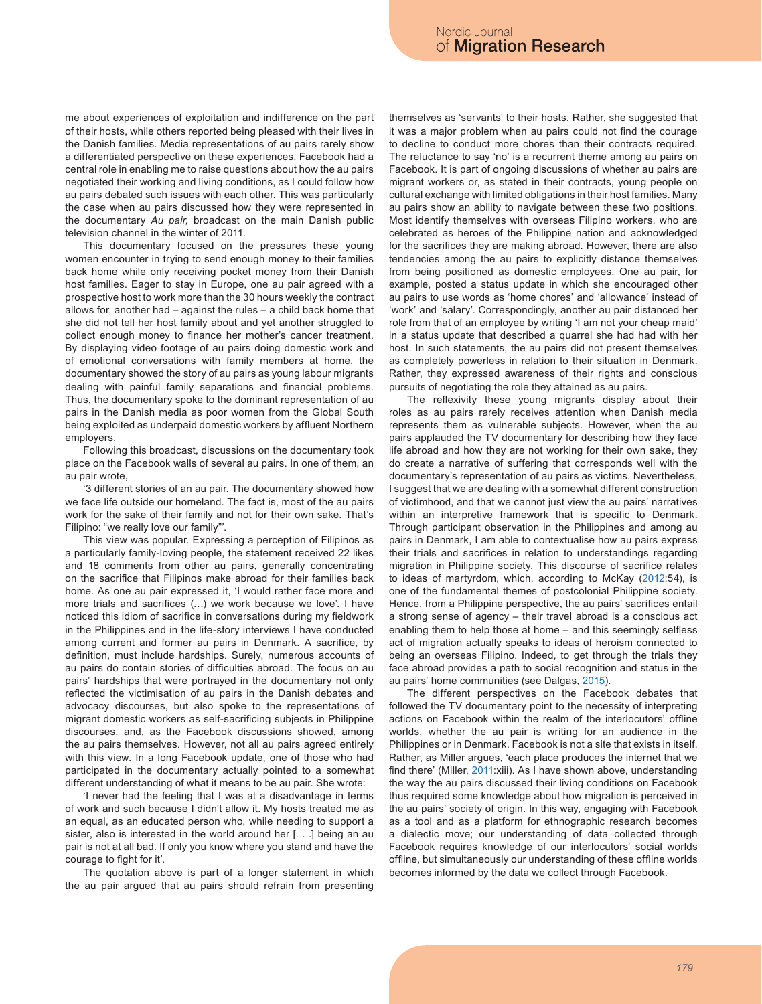me about experiences of exploitation and indifference on the part of their hosts, while others reported being pleased with their lives in the Danish families. Media representations of au pairs rarely show a differentiated perspective on these experiences. Facebook had a central role in enabling me to raise questions about how the au pairs negotiated their working and living conditions, as I could follow how au pairs debated such issues with each other. This was particularly the case when au pairs discussed how they were represented in the documentary *Au pair,* broadcast on the main Danish public television channel in the winter of 2011.

This documentary focused on the pressures these young women encounter in trying to send enough money to their families back home while only receiving pocket money from their Danish host families. Eager to stay in Europe, one au pair agreed with a prospective host to work more than the 30 hours weekly the contract allows for, another had – against the rules – a child back home that she did not tell her host family about and yet another struggled to collect enough money to finance her mother's cancer treatment. By displaying video footage of au pairs doing domestic work and of emotional conversations with family members at home, the documentary showed the story of au pairs as young labour migrants dealing with painful family separations and financial problems. Thus, the documentary spoke to the dominant representation of au pairs in the Danish media as poor women from the Global South being exploited as underpaid domestic workers by affluent Northern employers.

Following this broadcast, discussions on the documentary took place on the Facebook walls of several au pairs. In one of them, an au pair wrote,

'3 different stories of an au pair. The documentary showed how we face life outside our homeland. The fact is, most of the au pairs work for the sake of their family and not for their own sake. That's Filipino: "we really love our family"'.

This view was popular. Expressing a perception of Filipinos as a particularly family-loving people, the statement received 22 likes and 18 comments from other au pairs, generally concentrating on the sacrifice that Filipinos make abroad for their families back home. As one au pair expressed it, 'I would rather face more and more trials and sacrifices (…) we work because we love'. I have noticed this idiom of sacrifice in conversations during my fieldwork in the Philippines and in the life-story interviews I have conducted among current and former au pairs in Denmark. A sacrifice, by definition, must include hardships. Surely, numerous accounts of au pairs do contain stories of difficulties abroad. The focus on au pairs' hardships that were portrayed in the documentary not only reflected the victimisation of au pairs in the Danish debates and advocacy discourses, but also spoke to the representations of migrant domestic workers as self-sacrificing subjects in Philippine discourses, and, as the Facebook discussions showed, among the au pairs themselves. However, not all au pairs agreed entirely with this view. In a long Facebook update, one of those who had participated in the documentary actually pointed to a somewhat different understanding of what it means to be au pair. She wrote:

'I never had the feeling that I was at a disadvantage in terms of work and such because I didn't allow it. My hosts treated me as an equal, as an educated person who, while needing to support a sister, also is interested in the world around her [. . .] being an au pair is not at all bad. If only you know where you stand and have the courage to fight for it'.

The quotation above is part of a longer statement in which the au pair argued that au pairs should refrain from presenting themselves as 'servants' to their hosts. Rather, she suggested that it was a major problem when au pairs could not find the courage to decline to conduct more chores than their contracts required. The reluctance to say 'no' is a recurrent theme among au pairs on Facebook. It is part of ongoing discussions of whether au pairs are migrant workers or, as stated in their contracts, young people on cultural exchange with limited obligations in their host families. Many au pairs show an ability to navigate between these two positions. Most identify themselves with overseas Filipino workers, who are celebrated as heroes of the Philippine nation and acknowledged for the sacrifices they are making abroad. However, there are also tendencies among the au pairs to explicitly distance themselves from being positioned as domestic employees. One au pair, for example, posted a status update in which she encouraged other au pairs to use words as 'home chores' and 'allowance' instead of 'work' and 'salary'. Correspondingly, another au pair distanced her role from that of an employee by writing 'I am not your cheap maid' in a status update that described a quarrel she had had with her host. In such statements, the au pairs did not present themselves as completely powerless in relation to their situation in Denmark. Rather, they expressed awareness of their rights and conscious pursuits of negotiating the role they attained as au pairs.

The reflexivity these young migrants display about their roles as au pairs rarely receives attention when Danish media represents them as vulnerable subjects. However, when the au pairs applauded the TV documentary for describing how they face life abroad and how they are not working for their own sake, they do create a narrative of suffering that corresponds well with the documentary's representation of au pairs as victims. Nevertheless, I suggest that we are dealing with a somewhat different construction of victimhood, and that we cannot just view the au pairs' narratives within an interpretive framework that is specific to Denmark. Through participant observation in the Philippines and among au pairs in Denmark, I am able to contextualise how au pairs express their trials and sacrifices in relation to understandings regarding migration in Philippine society. This discourse of sacrifice relates to ideas of martyrdom, which, according to McKay (2012:54), is one of the fundamental themes of postcolonial Philippine society. Hence, from a Philippine perspective, the au pairs' sacrifices entail a strong sense of agency – their travel abroad is a conscious act enabling them to help those at home – and this seemingly selfless act of migration actually speaks to ideas of heroism connected to being an overseas Filipino. Indeed, to get through the trials they face abroad provides a path to social recognition and status in the au pairs' home communities (see Dalgas, 2015).

The different perspectives on the Facebook debates that followed the TV documentary point to the necessity of interpreting actions on Facebook within the realm of the interlocutors' offline worlds, whether the au pair is writing for an audience in the Philippines or in Denmark. Facebook is not a site that exists in itself. Rather, as Miller argues, 'each place produces the internet that we find there' (Miller, 2011:xiii). As I have shown above, understanding the way the au pairs discussed their living conditions on Facebook thus required some knowledge about how migration is perceived in the au pairs' society of origin. In this way, engaging with Facebook as a tool and as a platform for ethnographic research becomes a dialectic move; our understanding of data collected through Facebook requires knowledge of our interlocutors' social worlds offline, but simultaneously our understanding of these offline worlds becomes informed by the data we collect through Facebook.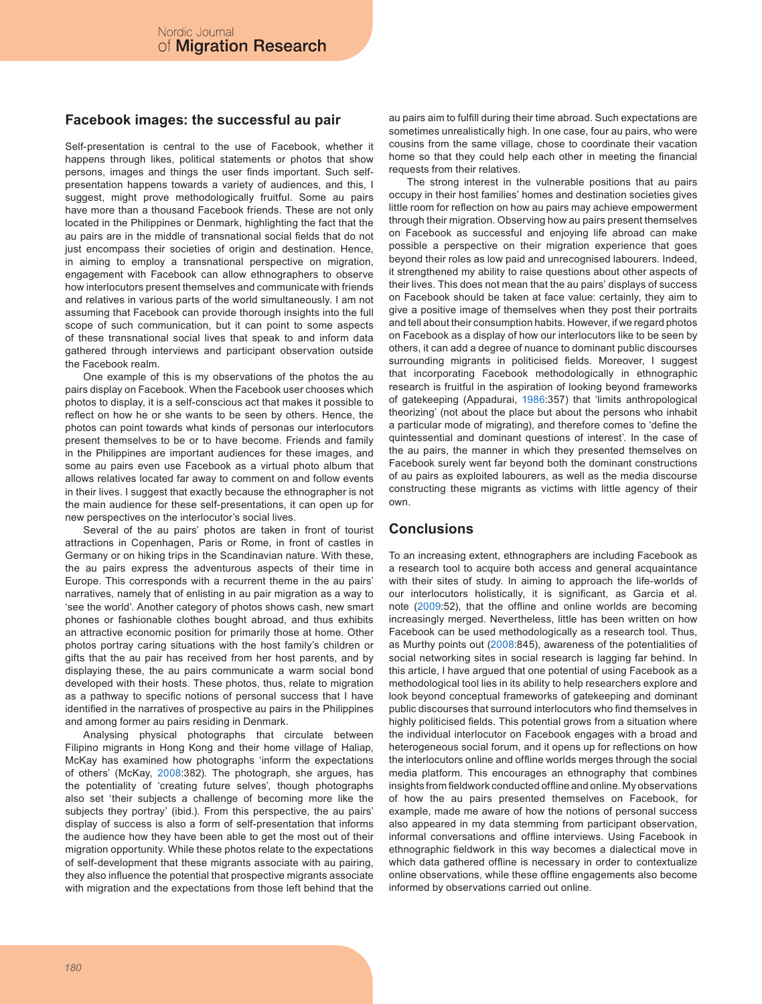### **Facebook images: the successful au pair**

Self-presentation is central to the use of Facebook, whether it happens through likes, political statements or photos that show persons, images and things the user finds important. Such selfpresentation happens towards a variety of audiences, and this, I suggest, might prove methodologically fruitful. Some au pairs have more than a thousand Facebook friends. These are not only located in the Philippines or Denmark, highlighting the fact that the au pairs are in the middle of transnational social fields that do not just encompass their societies of origin and destination. Hence, in aiming to employ a transnational perspective on migration, engagement with Facebook can allow ethnographers to observe how interlocutors present themselves and communicate with friends and relatives in various parts of the world simultaneously. I am not assuming that Facebook can provide thorough insights into the full scope of such communication, but it can point to some aspects of these transnational social lives that speak to and inform data gathered through interviews and participant observation outside the Facebook realm.

One example of this is my observations of the photos the au pairs display on Facebook. When the Facebook user chooses which photos to display, it is a self-conscious act that makes it possible to reflect on how he or she wants to be seen by others. Hence, the photos can point towards what kinds of personas our interlocutors present themselves to be or to have become. Friends and family in the Philippines are important audiences for these images, and some au pairs even use Facebook as a virtual photo album that allows relatives located far away to comment on and follow events in their lives. I suggest that exactly because the ethnographer is not the main audience for these self-presentations, it can open up for new perspectives on the interlocutor's social lives.

Several of the au pairs' photos are taken in front of tourist attractions in Copenhagen, Paris or Rome, in front of castles in Germany or on hiking trips in the Scandinavian nature. With these, the au pairs express the adventurous aspects of their time in Europe. This corresponds with a recurrent theme in the au pairs' narratives, namely that of enlisting in au pair migration as a way to 'see the world'. Another category of photos shows cash, new smart phones or fashionable clothes bought abroad, and thus exhibits an attractive economic position for primarily those at home. Other photos portray caring situations with the host family's children or gifts that the au pair has received from her host parents, and by displaying these, the au pairs communicate a warm social bond developed with their hosts. These photos, thus, relate to migration as a pathway to specific notions of personal success that I have identified in the narratives of prospective au pairs in the Philippines and among former au pairs residing in Denmark.

Analysing physical photographs that circulate between Filipino migrants in Hong Kong and their home village of Haliap, McKay has examined how photographs 'inform the expectations of others' (McKay, 2008:382). The photograph, she argues, has the potentiality of 'creating future selves', though photographs also set 'their subjects a challenge of becoming more like the subjects they portray' (ibid.). From this perspective, the au pairs' display of success is also a form of self-presentation that informs the audience how they have been able to get the most out of their migration opportunity. While these photos relate to the expectations of self-development that these migrants associate with au pairing, they also influence the potential that prospective migrants associate with migration and the expectations from those left behind that the au pairs aim to fulfill during their time abroad. Such expectations are sometimes unrealistically high. In one case, four au pairs, who were cousins from the same village, chose to coordinate their vacation home so that they could help each other in meeting the financial requests from their relatives.

The strong interest in the vulnerable positions that au pairs occupy in their host families' homes and destination societies gives little room for reflection on how au pairs may achieve empowerment through their migration. Observing how au pairs present themselves on Facebook as successful and enjoying life abroad can make possible a perspective on their migration experience that goes beyond their roles as low paid and unrecognised labourers. Indeed, it strengthened my ability to raise questions about other aspects of their lives. This does not mean that the au pairs' displays of success on Facebook should be taken at face value: certainly, they aim to give a positive image of themselves when they post their portraits and tell about their consumption habits. However, if we regard photos on Facebook as a display of how our interlocutors like to be seen by others, it can add a degree of nuance to dominant public discourses surrounding migrants in politicised fields. Moreover, I suggest that incorporating Facebook methodologically in ethnographic research is fruitful in the aspiration of looking beyond frameworks of gatekeeping (Appadurai, 1986:357) that 'limits anthropological theorizing' (not about the place but about the persons who inhabit a particular mode of migrating), and therefore comes to 'define the quintessential and dominant questions of interest'. In the case of the au pairs, the manner in which they presented themselves on Facebook surely went far beyond both the dominant constructions of au pairs as exploited labourers, as well as the media discourse constructing these migrants as victims with little agency of their own.

### **Conclusions**

To an increasing extent, ethnographers are including Facebook as a research tool to acquire both access and general acquaintance with their sites of study. In aiming to approach the life-worlds of our interlocutors holistically, it is significant, as Garcia et al. note (2009:52), that the offline and online worlds are becoming increasingly merged. Nevertheless, little has been written on how Facebook can be used methodologically as a research tool. Thus, as Murthy points out (2008:845), awareness of the potentialities of social networking sites in social research is lagging far behind. In this article, I have argued that one potential of using Facebook as a methodological tool lies in its ability to help researchers explore and look beyond conceptual frameworks of gatekeeping and dominant public discourses that surround interlocutors who find themselves in highly politicised fields. This potential grows from a situation where the individual interlocutor on Facebook engages with a broad and heterogeneous social forum, and it opens up for reflections on how the interlocutors online and offline worlds merges through the social media platform. This encourages an ethnography that combines insights from fieldwork conducted offline and online. My observations of how the au pairs presented themselves on Facebook, for example, made me aware of how the notions of personal success also appeared in my data stemming from participant observation, informal conversations and offline interviews. Using Facebook in ethnographic fieldwork in this way becomes a dialectical move in which data gathered offline is necessary in order to contextualize online observations, while these offline engagements also become informed by observations carried out online.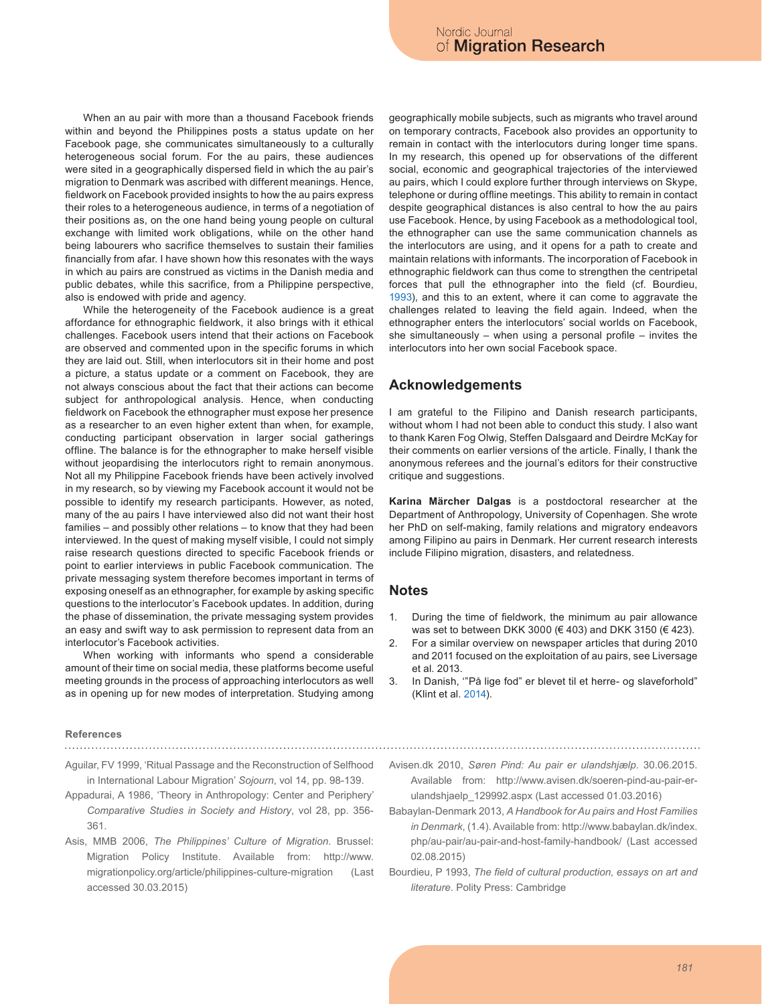When an au pair with more than a thousand Facebook friends within and beyond the Philippines posts a status update on her Facebook page, she communicates simultaneously to a culturally heterogeneous social forum. For the au pairs, these audiences were sited in a geographically dispersed field in which the au pair's migration to Denmark was ascribed with different meanings. Hence, fieldwork on Facebook provided insights to how the au pairs express their roles to a heterogeneous audience, in terms of a negotiation of their positions as, on the one hand being young people on cultural exchange with limited work obligations, while on the other hand being labourers who sacrifice themselves to sustain their families financially from afar. I have shown how this resonates with the ways in which au pairs are construed as victims in the Danish media and public debates, while this sacrifice, from a Philippine perspective, also is endowed with pride and agency.

While the heterogeneity of the Facebook audience is a great affordance for ethnographic fieldwork, it also brings with it ethical challenges. Facebook users intend that their actions on Facebook are observed and commented upon in the specific forums in which they are laid out. Still, when interlocutors sit in their home and post a picture, a status update or a comment on Facebook, they are not always conscious about the fact that their actions can become subject for anthropological analysis. Hence, when conducting fieldwork on Facebook the ethnographer must expose her presence as a researcher to an even higher extent than when, for example, conducting participant observation in larger social gatherings offline. The balance is for the ethnographer to make herself visible without jeopardising the interlocutors right to remain anonymous. Not all my Philippine Facebook friends have been actively involved in my research, so by viewing my Facebook account it would not be possible to identify my research participants. However, as noted, many of the au pairs I have interviewed also did not want their host families – and possibly other relations – to know that they had been interviewed. In the quest of making myself visible, I could not simply raise research questions directed to specific Facebook friends or point to earlier interviews in public Facebook communication. The private messaging system therefore becomes important in terms of exposing oneself as an ethnographer, for example by asking specific questions to the interlocutor's Facebook updates. In addition, during the phase of dissemination, the private messaging system provides an easy and swift way to ask permission to represent data from an interlocutor's Facebook activities.

When working with informants who spend a considerable amount of their time on social media, these platforms become useful meeting grounds in the process of approaching interlocutors as well as in opening up for new modes of interpretation. Studying among

# **References**

Aguilar, FV 1999, 'Ritual Passage and the Reconstruction of Selfhood in International Labour Migration' *Sojourn*, vol 14, pp. 98-139.

- Appadurai, A 1986, 'Theory in Anthropology: Center and Periphery' *Comparative Studies in Society and History*, vol 28, pp. 356- 361.
- Asis, MMB 2006, *The Philippines' Culture of Migration*. Brussel: Migration Policy Institute. Available from: http://www. migrationpolicy.org/article/philippines-culture-migration (Last accessed 30.03.2015)

geographically mobile subjects, such as migrants who travel around on temporary contracts, Facebook also provides an opportunity to remain in contact with the interlocutors during longer time spans. In my research, this opened up for observations of the different social, economic and geographical trajectories of the interviewed au pairs, which I could explore further through interviews on Skype, telephone or during offline meetings. This ability to remain in contact despite geographical distances is also central to how the au pairs use Facebook. Hence, by using Facebook as a methodological tool, the ethnographer can use the same communication channels as the interlocutors are using, and it opens for a path to create and maintain relations with informants. The incorporation of Facebook in ethnographic fieldwork can thus come to strengthen the centripetal forces that pull the ethnographer into the field (cf. Bourdieu, 1993), and this to an extent, where it can come to aggravate the challenges related to leaving the field again. Indeed, when the ethnographer enters the interlocutors' social worlds on Facebook, she simultaneously – when using a personal profile – invites the interlocutors into her own social Facebook space.

#### **Acknowledgements**

I am grateful to the Filipino and Danish research participants, without whom I had not been able to conduct this study. I also want to thank Karen Fog Olwig, Steffen Dalsgaard and Deirdre McKay for their comments on earlier versions of the article. Finally, I thank the anonymous referees and the journal's editors for their constructive critique and suggestions.

**Karina Märcher Dalgas** is a postdoctoral researcher at the Department of Anthropology, University of Copenhagen. She wrote her PhD on self-making, family relations and migratory endeavors among Filipino au pairs in Denmark. Her current research interests include Filipino migration, disasters, and relatedness.

#### **Notes**

- 1. During the time of fieldwork, the minimum au pair allowance was set to between DKK 3000 ( $\in$  403) and DKK 3150 ( $\in$  423).
- 2. For a similar overview on newspaper articles that during 2010 and 2011 focused on the exploitation of au pairs, see Liversage et al. 2013.
- 3. In Danish, '"På lige fod" er blevet til et herre- og slaveforhold" (Klint et al. 2014).
- Avisen.dk 2010, *Søren Pind: Au pair er ulandshjælp*. 30.06.2015. Available from: http://www.avisen.dk/soeren-pind-au-pair-erulandshjaelp\_129992.aspx (Last accessed 01.03.2016)
- Babaylan-Denmark 2013, *A Handbook for Au pairs and Host Families in Denmark*, (1.4). Available from: http://www.babaylan.dk/index. php/au-pair/au-pair-and-host-family-handbook/ (Last accessed 02.08.2015)
- Bourdieu, P 1993, *The field of cultural production, essays on art and literature*. Polity Press: Cambridge